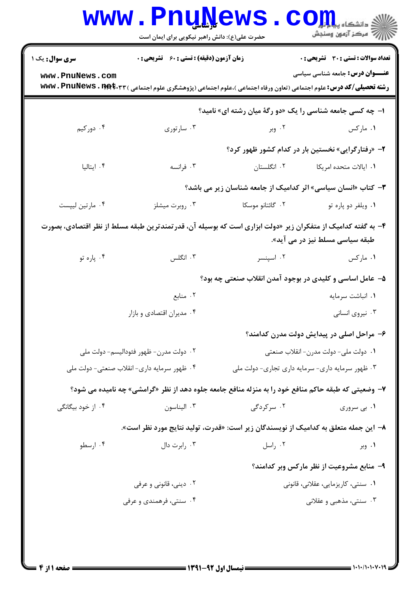| <b>سری سوال:</b> یک ۱ | <b>زمان آزمون (دقیقه) : تستی : 60 ٪ تشریحی : 0</b> |                                                                                                                                      | <b>تعداد سوالات : تستی : 30 ٪ تشریحی : 0</b> |
|-----------------------|----------------------------------------------------|--------------------------------------------------------------------------------------------------------------------------------------|----------------------------------------------|
| www.PnuNews.com       |                                                    | <b>رشته تحصیلی/کد درس:</b> علوم اجتماعی (تعاون ورفاه اجتماعی )،علوم اجتماعی (پژوهشگری علوم اجتماعی ) <b>www . PnuNews . 1194.۳</b> ۳ | <b>عنـــوان درس:</b> جامعه شناسی سیاسی       |
|                       |                                                    | ا- چه کسی جامعه شناسی را یک «دو رگهٔ میان رشته ای» نامید؟                                                                            |                                              |
| ۰۴ دورکیم             | ۰۳ سارتوري                                         | ۰۲ وبر                                                                                                                               | ۰۱ مارکس                                     |
|                       |                                                    | ۲- «رفتارگرایی» نخستین بار در کدام کشور ظهور کرد؟                                                                                    |                                              |
| ۰۴ ایتالیا            | ۰۳ فرانسه                                          | ۰۲ انگلستان                                                                                                                          | ۰۱ ایالات متحده امریکا                       |
|                       |                                                    | <b>۳</b> - کتاب «انسان سیاسی» اثر کدامیک از جامعه شناسان زیر می باشد؟                                                                |                                              |
| ۰۴ مارتين ليپست       | ۰۳ روبرت میشلز                                     | ۲. گائتانو موسکا                                                                                                                     | ۰۱ ویلفر دو پاره تو                          |
|                       |                                                    | ۴– به گفته کدامیک از متفکران زیر «دولت ابزاری است که بوسیله آن، قدرتمندترین طبقه مسلط از نظر اقتصادی، بصورت                          |                                              |
|                       |                                                    |                                                                                                                                      | طبقه سیاسی مسلط نیز در می آید».              |
| ۰۴ پاره تو            | ۰۳ انگلس                                           | ۰۲ اسپنسر                                                                                                                            | ۰۱ مارکس                                     |
|                       |                                                    | ۵– عامل اساسی و کلیدی در بوجود آمدن انقلاب صنعتی چه بود؟                                                                             |                                              |
|                       | ۰۲ منابع                                           | ۰۱ انباشت سرمایه                                                                                                                     |                                              |
|                       | ۰۴ مدیران اقتصادی و بازار                          |                                                                                                                                      | ۰۳ نیروی انسانی                              |
|                       |                                                    |                                                                                                                                      | ۶– مراحل اصلی در پیدایش دولت مدرن کدامند؟    |
|                       | ۰۲ دولت مدرن- ظهور فئوداليسم- دولت ملي             |                                                                                                                                      | ۰۱ دولت ملي- دولت مدرن- انقلاب صنعتي         |
|                       | ۰۴ ظهور سرمايه داري- انقلاب صنعتي- دولت ملي        | ۰۳ ظهور سرمايه داري- سرمايه داري تجاري- دولت ملي                                                                                     |                                              |
|                       |                                                    | ۷- وضعیتی که طبقه حاکم منافع خود را به منزله منافع جامعه جلوه دهد از نظر «گرامشی» چه نامیده می شود؟                                  |                                              |
| ۰۴ از خود بیگانگی     | ۰۳ اليناسون                                        | ۰۲ سرگردگی                                                                                                                           | ۰۱ بی سروری                                  |
|                       |                                                    | ۸− این جمله متعلق به کدامیک از نویسندگان زیر است: «قدرت، تولید نتایج مورد نظر است».                                                  |                                              |
| ۰۴ ارسطو              | ۰۳ رابرت دال                                       | ۰۲ راسل                                                                                                                              | ۰۱ وبر                                       |
|                       |                                                    |                                                                                                                                      | ۹– منابع مشروعیت از نظر مارکس وبر کدامند؟    |
|                       | ۰۲ دینی، قانونی و عرفی                             |                                                                                                                                      | ۰۱ سنتی، کاریزمایی، عقلانی، قانونی           |
|                       | ۰۴ سنتی، فرهمندی و عرفی                            |                                                                                                                                      | ۰۳ سنتی، مذهبی و عقلانی                      |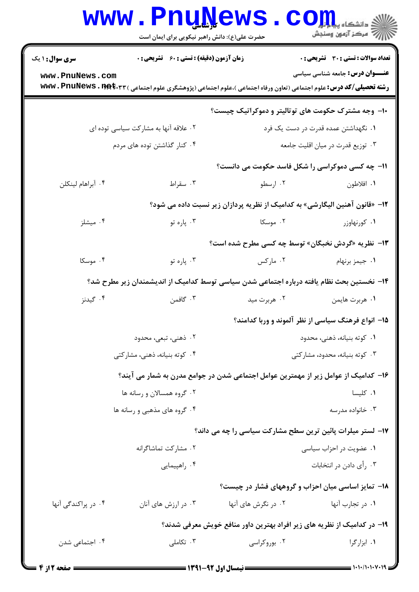|                                                                             | <b>www.PnuNews</b><br>حضرت علی(ع): دانش راهبر نیکویی برای ایمان است                                                                  |                                | $\mathbf{C}\mathbf{O}\mathbf{H}$ و دانشگاه پ<br>أآت مرکز آزمون وسنجش    |  |  |
|-----------------------------------------------------------------------------|--------------------------------------------------------------------------------------------------------------------------------------|--------------------------------|-------------------------------------------------------------------------|--|--|
| <b>سری سوال : ۱ یک</b>                                                      | <b>زمان آزمون (دقیقه) : تستی : 60 ٪ تشریحی : 0</b>                                                                                   |                                | <b>تعداد سوالات : تستی : 30 ٪ تشریحی : 0</b>                            |  |  |
| www.PnuNews.com                                                             | <b>رشته تحصیلی/کد درس:</b> علوم اجتماعی (تعاون ورفاه اجتماعی )،علوم اجتماعی (پژوهشگری علوم اجتماعی ) <b>www . PnuNews . 1194.۳</b> ۳ |                                | <b>عنـــوان درس:</b> جامعه شناسی سیاسی                                  |  |  |
|                                                                             |                                                                                                                                      |                                | <b>۰۱- وجه مشترک حکومت های توتالیتر و دموکراتیک چیست؟</b>               |  |  |
|                                                                             | ۰۲ علاقه آنها به مشارکت سیاسی توده ای                                                                                                |                                | ۰۱ نگهداشتن عمده قدرت در دست یک فرد                                     |  |  |
|                                                                             | ۰۴ کنار گذاشتن توده های مردم                                                                                                         |                                | ۰۳ توزیع قدرت در میان اقلیت جامعه                                       |  |  |
|                                                                             |                                                                                                                                      |                                | 11- چه کسی دموکراسی را شکل فاسد حکومت می دانست؟                         |  |  |
| ۰۴ آبراهام لينكلن                                                           | ۰۳ سقراط                                                                                                                             | ۰۲ ارسطو                       | ١. افلاطون                                                              |  |  |
| ۱۲– «قانون آهنین الیگارشی» به کدامیک از نظریه پردازان زیر نسبت داده می شود؟ |                                                                                                                                      |                                |                                                                         |  |  |
| ۰۴ میشلز                                                                    | ۰۳ پاره تو                                                                                                                           | ۰۲ موسکا                       | ۰۱ کورنهاوزر                                                            |  |  |
|                                                                             |                                                                                                                                      |                                | ۱۳- نظریه «گردش نخبگان» توسط چه کسی مطرح شده است؟                       |  |  |
| ۰۴ موسکا                                                                    | ۰۳ پاره تو                                                                                                                           | ۰۲ مارکس                       | ۰۱ جیمز برنهام                                                          |  |  |
|                                                                             | ۱۴– نخستین بحث نظام یافته درباره اجتماعی شدن سیاسی توسط کدامیک از اندیشمندان زیر مطرح شد؟                                            |                                |                                                                         |  |  |
| ۰۴ گیدنز                                                                    | ۰۳ گافمن                                                                                                                             | ۰۲ هربرت مید                   | ٠١ هربرت هايمن                                                          |  |  |
|                                                                             |                                                                                                                                      |                                | ۱۵- انواع فرهنگ سیاسی از نظر آلموند و وربا کدامند؟                      |  |  |
|                                                                             | ۰۲ ذهنی، تبعی، محدود                                                                                                                 | ٠١. كوته بنيانه، ذهني، محدود   |                                                                         |  |  |
| ۰۴ کوته بنیانه، ذهنی، مشارکتی                                               |                                                                                                                                      | ۰۳ کوته بنیانه، محدود، مشارکتی |                                                                         |  |  |
|                                                                             | ۱۶– کدامیک از عوامل زیر از مهمترین عوامل اجتماعی شدن در جوامع مدرن به شمار می آیند؟                                                  |                                |                                                                         |  |  |
|                                                                             | ۰۲ گروه همسالان و رسانه ها                                                                                                           | ٠١ كليسا                       |                                                                         |  |  |
|                                                                             | ۰۴ گروه های مذهبی و رسانه ها                                                                                                         |                                | ۰۳ خانواده مدرسه                                                        |  |  |
|                                                                             |                                                                                                                                      |                                | ۱۷– لستر میلرات پائین ترین سطح مشارکت سیاسی را چه می داند؟              |  |  |
|                                                                             | ۰۲ مشارکت تماشاگرانه                                                                                                                 | ۰۱ عضویت در احزاب سیاسی        |                                                                         |  |  |
|                                                                             | ۰۴ راهپیمایی                                                                                                                         |                                | ۰۳ رأی دادن در انتخابات                                                 |  |  |
|                                                                             |                                                                                                                                      |                                | ۱۸– تمایز اساسی میان احزاب و گروههای فشار در چیست؟                      |  |  |
| ۰۴ در پراکندگی آنها                                                         | ۰۳ در ارزش های آنان                                                                                                                  | ۰۲ در نگرش های آنها            | ۰۱ در تجارب آنها                                                        |  |  |
|                                                                             |                                                                                                                                      |                                | ۱۹– در کدامیک از نظریه های زیر افراد بهترین داور منافع خویش معرفی شدند؟ |  |  |
| ۰۴ اجتماعی شدن                                                              | تكاملى $\cdot$                                                                                                                       | ۰۲ بوروکراسی                   | ۰۱ ابزارگرا                                                             |  |  |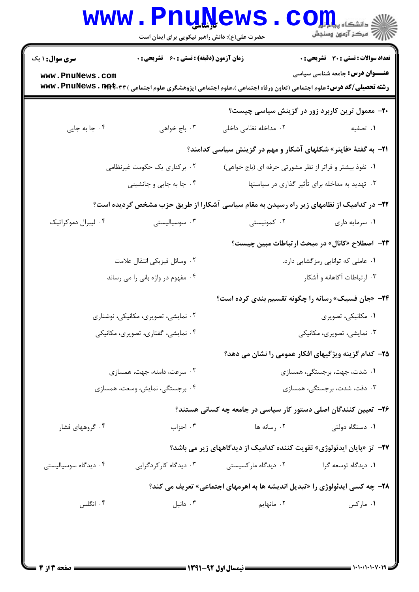|                                           |                                                    | حضرت علی(ع): دانش راهبر نیکویی برای ایمان است                                                                                        | الاد دانشڪاه پيا <mark>۾ لو</mark> ر<br>الا سرڪز آزمون وسنڊش                    |  |
|-------------------------------------------|----------------------------------------------------|--------------------------------------------------------------------------------------------------------------------------------------|---------------------------------------------------------------------------------|--|
| <b>سری سوال : ۱ یک</b><br>www.PnuNews.com | <b>زمان آزمون (دقیقه) : تستی : 60 ٪ تشریحی : 0</b> |                                                                                                                                      | تعداد سوالات : تستي : 30 - تشريحي : 0<br><b>عنـــوان درس:</b> جامعه شناسی سیاسی |  |
|                                           |                                                    | <b>رشته تحصیلی/کد درس:</b> علوم اجتماعی (تعاون ورفاه اجتماعی )،علوم اجتماعی (پژوهشگری علوم اجتماعی ) <b>www . PnuNews . 1194.۳</b> ۳ |                                                                                 |  |
|                                           |                                                    | ۲۰– معمول ترین کاربرد زور در گزینش سیاسی چیست؟                                                                                       |                                                                                 |  |
| ۰۴ جا به جایی                             | ۰۳ باج خواهی                                       | ۰۲ مداخله نظامی داخلی                                                                                                                | ۰۱ تصفیه                                                                        |  |
|                                           |                                                    | <b>۰۲۱</b> به گفتهٔ «فاینر» شکلهای آشکار و مهم در گزینش سیاسی کدامند؟                                                                |                                                                                 |  |
|                                           | ۰۲ برکناری یک حکومت غیرنظامی                       |                                                                                                                                      | ۰۱ نفوذ بیشتر و فراتر از نظر مشورتی حرفه ای (باج خواهی)                         |  |
| ۰۴ جا به جایی و جانشینی                   |                                                    | ۰۳ تهدید به مداخله برای تأثیر گذاری در سیاستها                                                                                       |                                                                                 |  |
|                                           |                                                    | ۲۲– در کدامیک از نظامهای زیر راه رسیدن به مقام سیاسی آشکارا از طریق حزب مشخص گردیده است؟                                             |                                                                                 |  |
| ۰۴ لیبرال دموکراتیک                       | ۰۳ سوسیالیستی                                      | ۰۲ کمونیستی                                                                                                                          | ٠١ سرمايه داري                                                                  |  |
|                                           |                                                    |                                                                                                                                      | <b>۳۳</b> − اصطلاح «کانال» در مبحث ارتباطات مبین چیست؟                          |  |
|                                           | ۰۲ وسائل فيزيكي انتقال علامت                       | ۰۱ عاملی که توانایی رمزگشایی دارد.                                                                                                   |                                                                                 |  |
| ۰۴ مفهوم در واژه بانی را می رساند         |                                                    | ۰۳ ارتباطات آگاهانه و آشکار                                                                                                          |                                                                                 |  |
|                                           |                                                    | <b>۲۴</b> - «جان فسیک» رسانه را چگونه تقسیم بندی کرده است؟                                                                           |                                                                                 |  |
| ۰۲ نمایشی، تصویری، مکانیکی، نوشتاری       |                                                    | ۰۱ مکانیکی، تصویری                                                                                                                   |                                                                                 |  |
| ۰۴ نمایشی، گفتاری، تصویری، مکانیکی        |                                                    | ۰۳ نمایشی، تصویری، مکانیکی                                                                                                           |                                                                                 |  |
|                                           |                                                    | ۲۵– کدام گزینه ویژگیهای افکار عمومی را نشان می دهد؟                                                                                  |                                                                                 |  |
| ۰۲ سرعت، دامنه، جهت، همسازی               |                                                    | ۰۱ شدت، جهت، برجستگی، همسازی                                                                                                         |                                                                                 |  |
| ۰۴ برجستگی، نمایش، وسعت، همسازی           |                                                    |                                                                                                                                      | ۰۳ دقت، شدت، برجستگی، همسازی                                                    |  |
|                                           |                                                    | ۲۶– تعیین کنندگان اصلی دستور کار سیاسی در جامعه چه کسانی هستند؟                                                                      |                                                                                 |  |
| ۰۴ گروههای فشار                           | ۰۳ احزاب                                           | ۰۲ رسانه ها                                                                                                                          | ۰۱ دستگاه دولتی                                                                 |  |
|                                           |                                                    | <b>۲۷</b> - تز «پایان ایدئولوژی» تقویت کننده کدامیک از دیدگاههای زیر می باشد؟                                                        |                                                                                 |  |
| ۰۴ دیدگاه سوسیالیستی                      | ۰۳ دیدگاه کارکردگرایی                              | ۰۲ دیدگاه مارکسیستی                                                                                                                  | ٠١ ديدگاه توسعه گرا                                                             |  |
|                                           |                                                    | <b>۲۸</b> - چه کسی ایدئولوژی را «تبدیل اندیشه ها به اهرمهای اجتماعی» تعریف می کند؟                                                   |                                                                                 |  |
| ۰۴ انگلس                                  | ۰۳ دانیل                                           | ۰۲ مانهایم                                                                                                                           | ۰۱ مارکس                                                                        |  |

 $= 1.1.11.1.1.1$